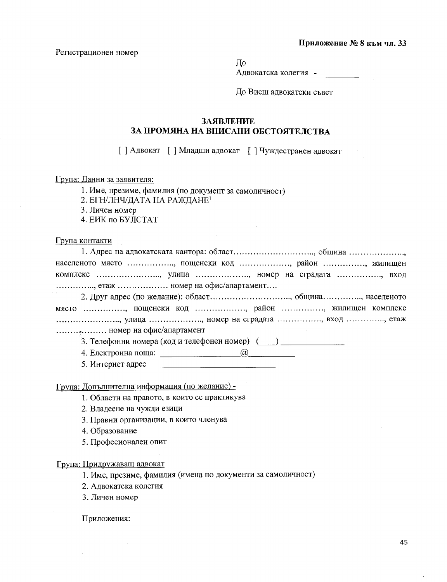## Приложение № 8 към чл. 33

Регистрационен номер

До

Адвокатска колегия -

До Висш адвокатски съвет

## **ЗАЯВЛЕНИЕ** ЗА ПРОМЯНА НА ВПИСАНИ ОБСТОЯТЕЛСТВА

[ ] Адвокат [ ] Младши адвокат [ ] Чуждестранен адвокат

Група: Данни за заявителя:

1. Име, презиме, фамилия (по документ за самоличност)

2. ЕГН/ЛНЧ/ДАТА НА РАЖДАНЕ<sup>1</sup>

3. Личен номер

4. ЕИК по БУЛСТАТ

Група контакти

| населеното място , пощенски код , район , жилищен      |
|--------------------------------------------------------|
| комплекс , улица , номер на сградата , вход            |
| $\ldots$ , етаж $\ldots$ номер на офис/апартамент      |
| 2. Друг адрес (по желание): област, община, населеното |
| място , пощенски код , район , жилищен комплекс        |
| , улица , номер на сградата , вход ,, етаж             |
|                                                        |
| 3. Телефонни номера (код и телефонен номер) ()         |
| 4. Електронна поща:<br>(a)                             |

5. Интернет адрес  $\qquad \qquad$ 

Група: Допълнителна информация (по желание) -

- 1. Области на правото, в които се практикува
- 2. Владеене на чужди езици
- 3. Правни организации, в които членува
- 4. Образование
- 5. Професионален опит

## Група: Придружаващ адвокат

1. Име, презиме, фамилия (имена по документи за самоличност)

- 2. Адвокатска колегия
- 3. Личен номер

Приложения: